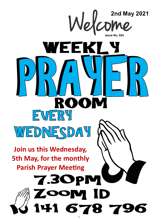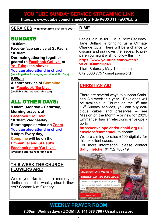### **YOU TUBE SUNDAY SERVICE STREAMING LINK <https://www.youtube.com/channel/UCqTPdwPeUXD1TIFuG76xLfg>**

**SERVICES (with effect from 18th April 2021)**

# SUNDAYS

**10.00am Face-to-face service at St Paul's 10.30am Our main gathering together – geared to [Facebook GoLive](https://www.facebook.com/emmanuelwithstpauls/)' or [YouTube](https://www.youtube.com/channel/UCqTPdwPeUXD1TIFuG76xLfg) (see above) You can also attend in church (we will gather for singing outside at 10.15am) 9.00pm**

**A short service of [Compline](https://www.emmanuelplymouth.co.uk/Publisher/File.aspx?ID=259665) on [Facebook](https://www.facebook.com/emmanuelwithstpauls/) 'Go Live' (available after as recording too)**

## ALL OTHER DAYS:

**9.00am Monday – Saturday**, **Morning prayers at [Facebook](https://www.facebook.com/emmanuelwithstpauls/) 'Go Live' 10.30am Wednesday Short agape service on [Zoom](https://us02web.zoom.us/j/87669471222?pwd=amNNVGJ4QmtIeFhlTlFmRTRTV29ndz09) You can also attend in church 9.00pm Every day, [Compline](https://www.emmanuelplymouth.co.uk/Publisher/File.aspx?ID=259665) will be on the [Emmanuel and St Paul](https://www.facebook.com/emmanuelwithstpauls/)'s [Facebook page](https://www.facebook.com/emmanuelwithstpauls/) 'Go Live'**

**(available after as recording too)**

#### **THIS WEEK THE CHURCH FLOWERS ARE:**

Would you like to put a memory or dedication to the weekly church flowers? Contact Kim Gregory.

### **DIME**

Ladies join us for DIMES next Saturday. Jane Bullard is bringing us a Climate Change Quiz. There will be a chance to discuss and pray over the issues. To prepare you might wish to follow this link

**[https://www.youtube.com/watch?](https://www.youtube.com/watch?v=VSHQ0mgHg48) [v=VSHQ0mgHg48](https://www.youtube.com/watch?v=VSHQ0mgHg48)**

11am Saturday May 1, on zoom 872 8636 7757 usual password

### **CHRISTIAN AID**

There are several ways to support Christian Aid week this year. Envelopes will be available in Church on the  $9<sup>th</sup>$  and 16<sup>th</sup> Sunday services, you can buy delicious cakes and preserves – see Mission on the Month – or new for 2021, Emmanuel has an electronic envelope go to

**[https://envelope.christianaid.org.uk/](https://envelope.christianaid.org.uk/envelope/emmanuel-) [envelope/emmanuel](https://envelope.christianaid.org.uk/envelope/emmanuel-)**- to donate.

We are aiming to raise £500 digitally for this excellent cause.

For more information, please contact **[Sally Fletcher](mailto:sallyrfletcher@hotmail.com?subject=Christian%20Aid%20Week)** 01752 766749



**WEEKLY PRAYER ROOM [7.30pm Wednesdays / ZOOM ID: 141 678 796 / Usual password](https://us04web.zoom.us/j/141678796?pwd=VERURTVtcWQzbkZvdXFRMnJpKzg3dz09)**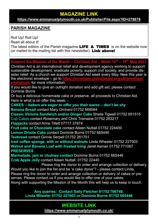### **MAGAZINE LINK**

**<https://www.emmanuelplymouth.co.uk/Publisher/File.aspx?ID=278878>**

### **PARISH MAGAZINE**

Roll Up! Roll Up! Read all about it! The latest edition of the Parish magazine **LIFE & TIMES** is on the website now (or mailed to the mailing list with this newsletter). Link above!

**Support the Mission of the Month – Christian Aid – Week 10th – 18th May 2021**

Christian Aid is an international relief and development agency working to support sustainable development, eradicate poverty, support civil society, and provide disaster relief. As a church we support Christian Aid week every May. New this year is the electronic envelope – go to **[https://envelope.christianaid.org.uk/envelope/](https://envelope.christianaid.org.uk/envelope/emmanuel-) [emmanuel](https://envelope.christianaid.org.uk/envelope/emmanuel-)**- for more information.

If you would like to give an outright donation and add gift aid, please contact Dominie Burns

Or buy a delicious homemade cake or preserve, all proceeds to Christian Aid. Here is what is on offer this week: -

**CAKES –** *bakers are eager to offer you their wares – don't be shy* **Banana Bread** contact Mary Orchard 01752 668564

**Classic Victoria Sandwich and/or Ginger Cake** Sheila Tigwell 01752 651515 Cup Cakes contact Rosemary and Chris Tremaine 01752 263217 **Flapjacks** contact Anne Tillett 07717 37874

**Fruit cake or Chocolate cake** contact Aileen Nuttall 01752 224400 **Lemon Drizzle Cake** contact Dominie Burns 01752 665446 **Teabread** contact Ginnie Serpell 01752 261751

**Iced coffee sponge, with or without walnuts** Linda Wheeler 01752 227003 **Walnut and Banana Loaf with frosted Icing** Janet Asman 01752 771067 **PRESERVES**

**Marmalade, jam or chutney contact** Dominie Burns 01752 665446 **Crab Apple Jelly** contact Aileen Nuttall 01752 22440

Please ring the donor to order and arrange collection or delivery. Would you like to join the list and be 'a cake donor'? - please contact Linda. Please ring the donor to order and arrange collection or delivery of cakes or preserves. Please contact us if you would like to offer one of your cakes. Along with supporting the Mission of the Month this will help us to keep in touch.

> **Any queries: Contact Sally Fletcher 01752 766749, Linda Wheeler 01752 227003 or Dominie Burns 01752 665446**

#### **WEBSITE LINK <https://www.emmanuelplymouth.co.uk/>**